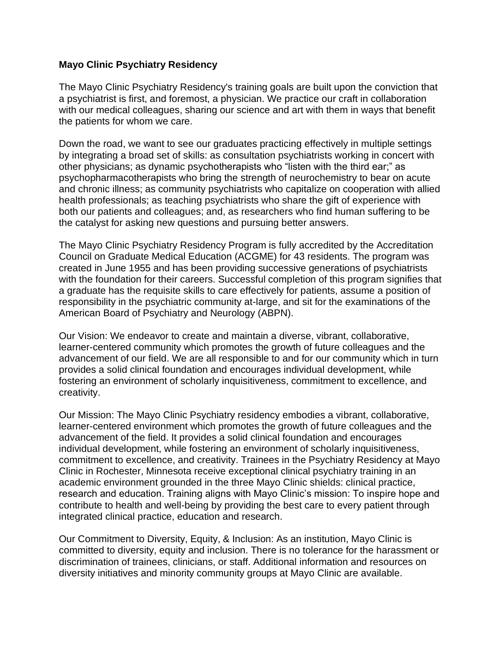## **Mayo Clinic Psychiatry Residency**

The Mayo Clinic Psychiatry Residency's training goals are built upon the conviction that a psychiatrist is first, and foremost, a physician. We practice our craft in collaboration with our medical colleagues, sharing our science and art with them in ways that benefit the patients for whom we care.

Down the road, we want to see our graduates practicing effectively in multiple settings by integrating a broad set of skills: as consultation psychiatrists working in concert with other physicians; as dynamic psychotherapists who "listen with the third ear;" as psychopharmacotherapists who bring the strength of neurochemistry to bear on acute and chronic illness; as community psychiatrists who capitalize on cooperation with allied health professionals; as teaching psychiatrists who share the gift of experience with both our patients and colleagues; and, as researchers who find human suffering to be the catalyst for asking new questions and pursuing better answers.

The Mayo Clinic Psychiatry Residency Program is fully accredited by the Accreditation Council on Graduate Medical Education (ACGME) for 43 residents. The program was created in June 1955 and has been providing successive generations of psychiatrists with the foundation for their careers. Successful completion of this program signifies that a graduate has the requisite skills to care effectively for patients, assume a position of responsibility in the psychiatric community at-large, and sit for the examinations of the American Board of Psychiatry and Neurology (ABPN).

Our Vision: We endeavor to create and maintain a diverse, vibrant, collaborative, learner-centered community which promotes the growth of future colleagues and the advancement of our field. We are all responsible to and for our community which in turn provides a solid clinical foundation and encourages individual development, while fostering an environment of scholarly inquisitiveness, commitment to excellence, and creativity.

Our Mission: The Mayo Clinic Psychiatry residency embodies a vibrant, collaborative, learner-centered environment which promotes the growth of future colleagues and the advancement of the field. It provides a solid clinical foundation and encourages individual development, while fostering an environment of scholarly inquisitiveness, commitment to excellence, and creativity. Trainees in the Psychiatry Residency at Mayo Clinic in Rochester, Minnesota receive exceptional clinical psychiatry training in an academic environment grounded in the three Mayo Clinic shields: clinical practice, research and education. Training aligns with Mayo Clinic's mission: To inspire hope and contribute to health and well-being by providing the best care to every patient through integrated clinical practice, education and research.

Our Commitment to Diversity, Equity, & Inclusion: As an institution, Mayo Clinic is committed to diversity, equity and inclusion. There is no tolerance for the harassment or discrimination of trainees, clinicians, or staff. Additional information and resources on diversity initiatives and minority community groups at Mayo Clinic are available.